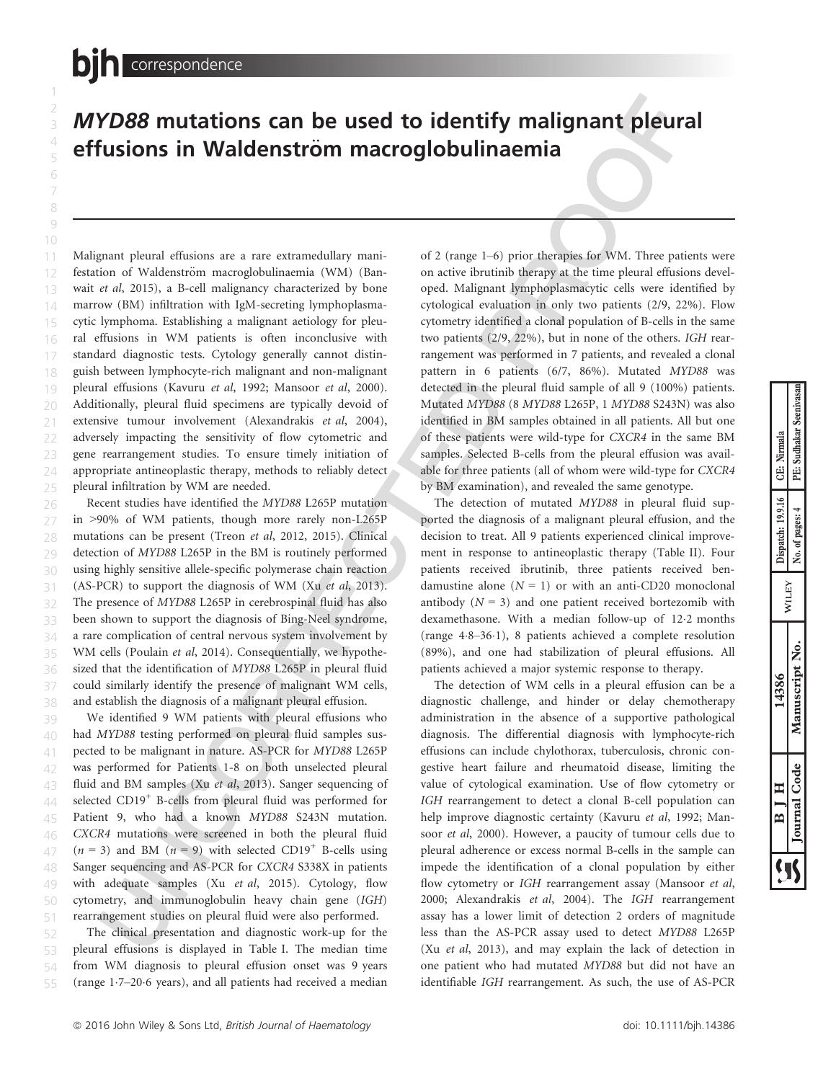1 2

## MYD88 mutations can be used to identify malignant pleural effusions in Waldenström macroglobulinaemia

Malignant pleural effusions are a rare extramedullary manifestation of Waldenström macroglobulinaemia (WM) (Banwait et al, 2015), a B-cell malignancy characterized by bone marrow (BM) infiltration with IgM-secreting lymphoplasmacytic lymphoma. Establishing a malignant aetiology for pleural effusions in WM patients is often inconclusive with standard diagnostic tests. Cytology generally cannot distinguish between lymphocyte-rich malignant and non-malignant pleural effusions (Kavuru et al, 1992; Mansoor et al, 2000). Additionally, pleural fluid specimens are typically devoid of extensive tumour involvement (Alexandrakis et al, 2004), adversely impacting the sensitivity of flow cytometric and gene rearrangement studies. To ensure timely initiation of appropriate antineoplastic therapy, methods to reliably detect pleural infiltration by WM are needed. 10 11 12 13 14 15 16 17 18 19 21 22 23 24 25

Recent studies have identified the MYD88 L265P mutation in >90% of WM patients, though more rarely non-L265P mutations can be present (Treon et al, 2012, 2015). Clinical detection of MYD88 L265P in the BM is routinely performed using highly sensitive allele-specific polymerase chain reaction (AS-PCR) to support the diagnosis of WM (Xu et al, 2013). The presence of MYD88 L265P in cerebrospinal fluid has also been shown to support the diagnosis of Bing-Neel syndrome, a rare complication of central nervous system involvement by WM cells (Poulain et al, 2014). Consequentially, we hypothesized that the identification of MYD88 L265P in pleural fluid could similarly identify the presence of malignant WM cells, and establish the diagnosis of a malignant pleural effusion. 26 27 28 29 31 32 33 34 35 36 37 38

We identified 9 WM patients with pleural effusions who had MYD88 testing performed on pleural fluid samples suspected to be malignant in nature. AS-PCR for MYD88 L265P was performed for Patients 1-8 on both unselected pleural fluid and BM samples (Xu et al, 2013). Sanger sequencing of selected CD19<sup>+</sup> B-cells from pleural fluid was performed for Patient 9, who had a known MYD88 S243N mutation. CXCR4 mutations were screened in both the pleural fluid  $(n = 3)$  and BM  $(n = 9)$  with selected CD19<sup>+</sup> B-cells using Sanger sequencing and AS-PCR for CXCR4 S338X in patients with adequate samples (Xu et al, 2015). Cytology, flow cytometry, and immunoglobulin heavy chain gene (IGH) rearrangement studies on pleural fluid were also performed. 39 40 41 42 43  $44$ 45 46 47 48 49 51

The clinical presentation and diagnostic work-up for the pleural effusions is displayed in Table I. The median time from WM diagnosis to pleural effusion onset was 9 years (range 17–206 years), and all patients had received a median 52 53 54

of 2 (range 1–6) prior therapies for WM. Three patients were on active ibrutinib therapy at the time pleural effusions developed. Malignant lymphoplasmacytic cells were identified by cytological evaluation in only two patients (2/9, 22%). Flow cytometry identified a clonal population of B-cells in the same two patients (2/9, 22%), but in none of the others. IGH rearrangement was performed in 7 patients, and revealed a clonal pattern in 6 patients (6/7, 86%). Mutated MYD88 was detected in the pleural fluid sample of all 9 (100%) patients. Mutated MYD88 (8 MYD88 L265P, 1 MYD88 S243N) was also identified in BM samples obtained in all patients. All but one of these patients were wild-type for CXCR4 in the same BM samples. Selected B-cells from the pleural effusion was available for three patients (all of whom were wild-type for CXCR4 by BM examination), and revealed the same genotype.

The detection of mutated MYD88 in pleural fluid supported the diagnosis of a malignant pleural effusion, and the decision to treat. All 9 patients experienced clinical improvement in response to antineoplastic therapy (Table II). Four patients received ibrutinib, three patients received bendamustine alone  $(N = 1)$  or with an anti-CD20 monoclonal antibody  $(N = 3)$  and one patient received bortezomib with dexamethasone. With a median follow-up of 122 months (range  $4.8-36.1$ ), 8 patients achieved a complete resolution (89%), and one had stabilization of pleural effusions. All patients achieved a major systemic response to therapy.

The detection of WM cells in a pleural effusion can be a diagnostic challenge, and hinder or delay chemotherapy administration in the absence of a supportive pathological diagnosis. The differential diagnosis with lymphocyte-rich effusions can include chylothorax, tuberculosis, chronic congestive heart failure and rheumatoid disease, limiting the value of cytological examination. Use of flow cytometry or IGH rearrangement to detect a clonal B-cell population can help improve diagnostic certainty (Kavuru et al, 1992; Mansoor et al, 2000). However, a paucity of tumour cells due to pleural adherence or excess normal B-cells in the sample can impede the identification of a clonal population by either flow cytometry or IGH rearrangement assay (Mansoor et al, 2000; Alexandrakis et al, 2004). The IGH rearrangement assay has a lower limit of detection 2 orders of magnitude less than the AS-PCR assay used to detect MYD88 L265P (Xu et al, 2013), and may explain the lack of detection in one patient who had mutated MYD88 but did not have an identifiable IGH rearrangement. As such, the use of AS-PCR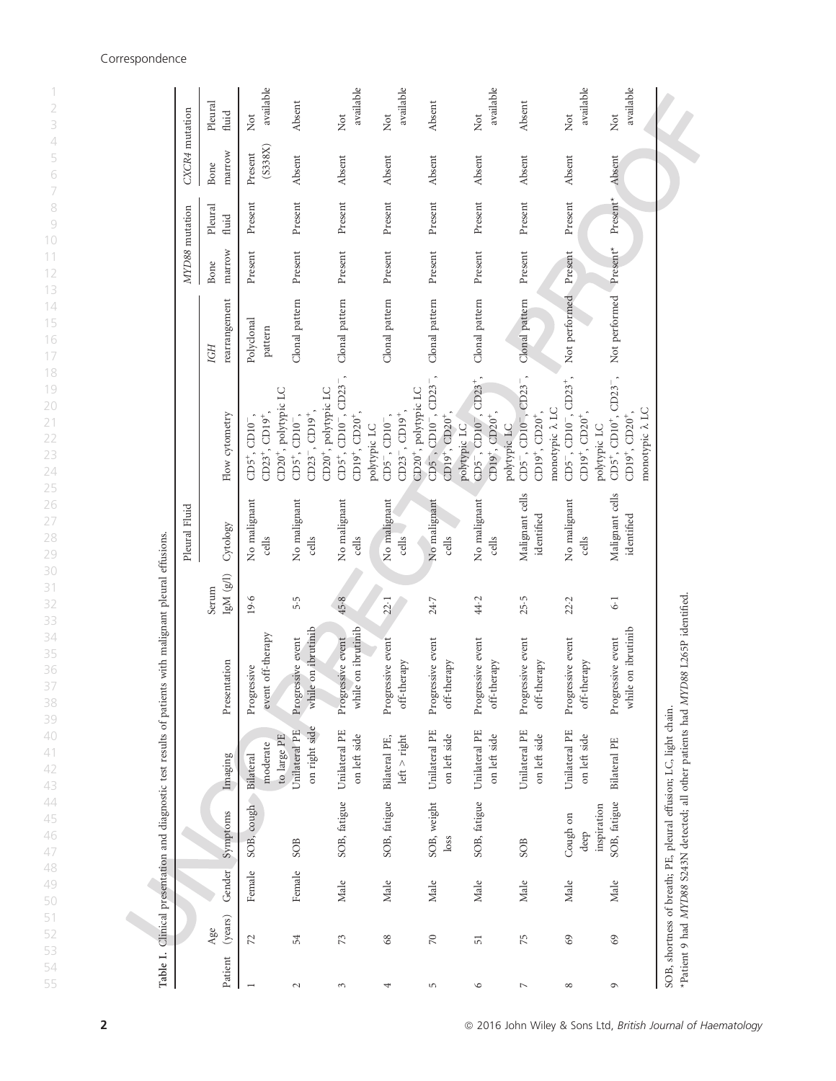| Table I.       |                |        |                             |                                                                  | Clinical presentation and diagnostic test results of patients with malignant pleural effusions. |                   |                               |                                                                                                          |                                   |                                                    |                               |                    |                                      |
|----------------|----------------|--------|-----------------------------|------------------------------------------------------------------|-------------------------------------------------------------------------------------------------|-------------------|-------------------------------|----------------------------------------------------------------------------------------------------------|-----------------------------------|----------------------------------------------------|-------------------------------|--------------------|--------------------------------------|
|                |                |        |                             |                                                                  |                                                                                                 |                   | Pleural Fluid                 |                                                                                                          |                                   | MYD88 mutation                                     |                               | CXCR4 mutation     |                                      |
| Patient        | (years)<br>Age | Gender | Symptoms                    | Imaging                                                          | Presentation                                                                                    | IgM(g/l)<br>Serum | Cytology                      | Flow cytometry                                                                                           | rearrangement<br>IGH              | marrow<br>Bone                                     | Pleural<br>fluid              | marrow<br>Bone     | Pleural<br>fluid                     |
|                | 72             | Female | SOB, cough                  | to large PE<br>moderate<br>Bilateral                             | event off-therapy<br>Progressive                                                                | 19.6              | No malignant<br>cells         | CD20 <sup>+</sup> , polytypic LC<br>$CD23^+$ , $CD19^+$ ,<br>$CD5^+$ , $CD10^-$ ,                        | Polyclonal<br>$_{\mbox{pattern}}$ | Present                                            | Present                       | (S338X)<br>Present | available<br>Not                     |
| $\sim$         | 54             | Female | SOB                         | on right side<br>Unilateral PE                                   | while on ibrutinib<br>Progressive event                                                         | 5.5               | No malignant<br>cells         | $CD23^-, CD19^+,$<br>$CD5^+$ , $CD10^-$ ,                                                                | Clonal pattern                    | Present                                            | Present                       | Absent             | Absent                               |
| 3              | 73             | Male   | SOB, fatigue                | Unilateral PE<br>on left side                                    | while on ibrutinib<br>Progressive event                                                         | 45.8              | No malignant<br>cells         | $CD5^+$ , $CD10^-$ , $CD23^-$ ,<br>CD20 <sup>+</sup> , polytypic LC<br>$CD19^+$ , $CD20^+$               | Clonal pattern                    | Present                                            | Present                       | Absent             | available<br>$\overline{\text{Not}}$ |
| 4              | $68$           | Male   | SOB, fatigue                | Bilateral PE,<br>$left$ > $right$                                | Progressive event<br>off-therapy                                                                | 22.1              | No malignant<br>cells         | $CD23^{-}$ , $CD19^{+}$ ,<br>$CD5^-$ , $CD10^-$<br>polytypic LC                                          | Clonal pattern                    | Present                                            | Present                       | Absent             | available<br>$\rm Not$               |
| 5              | $\gtrsim$      | Male   | SOB, weight<br>loss         | Unilateral PE<br>on left side                                    | Progressive event<br>off-therapy                                                                | 24.7              | No malignant<br>cells         | CD5 , CD10 , CD23 ,<br>CD20 <sup>+</sup> , polytypic LC<br>$CD19^+$ , $CD20^+$                           | Clonal pattern                    | Present                                            | Present                       | Absent             | Absent                               |
| $\circ$        | $\overline{5}$ | Male   | SOB, fatigue                | Unilateral PE<br>on left side                                    | Progressive event<br>off-therapy                                                                | 44.2              | No malignant<br>cells         | $CD23^{+}$ ,<br>$CD19^+$ , $CD20^+$ ,<br>$CD5^{-}$ , $CD10^{-}$<br>polytypic LC                          | Clonal pattern                    | Present                                            | Present                       | Absent             | available<br>Not                     |
| $\overline{ }$ | 75             | Male   | SOB                         | Unilateral PE<br>on left side                                    | Progressive event<br>off-therapy                                                                | 25.5              | Malignant cells<br>identified | $CD5^{-}$ , $CD10^{-}$ , $CD23^{-}$ ,<br>monotypic $\lambda$ LC<br>$CD19^+$ , $CD20^+$ ,<br>polytypic LC | Clonal pattern                    | Present                                            | $\ensuremath{\text{Present}}$ | Absent             | Absent                               |
| $^{\circ}$     | 69             | Male   | Cough on<br>deep            | Unilateral PE<br>on left side                                    | Progressive event<br>off-therapy                                                                | 22.2              | No malignant<br>cells         | $CD5^{-}$ , $CD10^{-}$ , $CD23^{+}$ ,<br>$CD19^+$ , $CD20^+$ ,                                           | Not performed                     | Present                                            | Present                       | Absent             | available<br>Not                     |
| G              | $69$           | Male   | SOB, fatigue<br>inspiration | Bilateral PE                                                     | while on ibrutinib<br>Progressive event                                                         | $6-1$             | Malignant cells<br>identified | $CD5^+$ , $CD10^+$ , $CD23^-$ ,<br>monotypic $\lambda$ LC<br>$CD19^+$ , $CD20^+$ ,<br>polytypic LC       | Not performed                     | $\ensuremath{\textnormal{\textbf{Present}}}^\star$ | $Present*$                    | Absent             | available<br>$\rm{Not}$              |
|                |                |        |                             | SOB, shortness of breath; PE, pleural effusion; LC, light chain. | *Patient 9 had MYD88 S243N detected; all other patients had MYD88 L265P identified.             |                   |                               |                                                                                                          |                                   |                                                    |                               |                    |                                      |

## Correspondence

1 2

4 5

2 **2 2016 John Wiley & Sons Ltd, British Journal of Haematology** 

55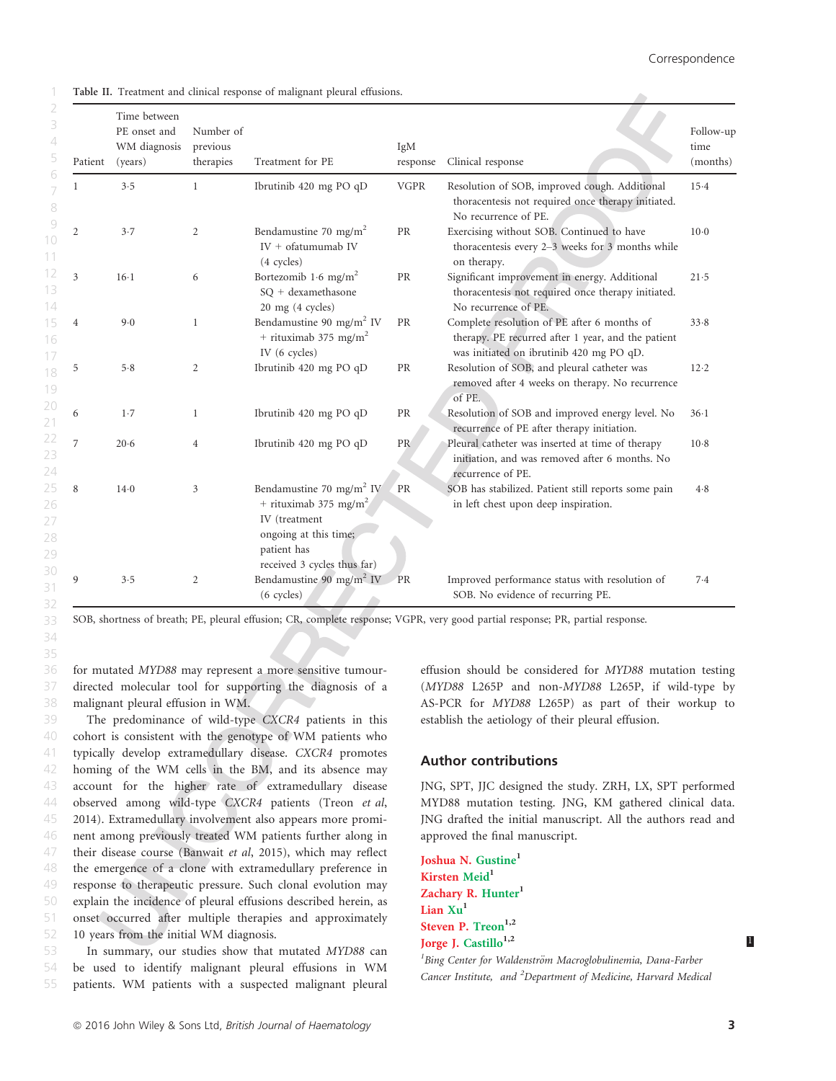A

Table II. Treatment and clinical response of malignant pleural effusions.

1

33 34 35

| Patient        | Time between<br>PE onset and<br>WM diagnosis<br>(years) | Number of<br>previous<br>therapies | Treatment for PE                                                                                                                                                  | IgM<br>response | Clinical response                                                                                                                             | Follow-up<br>time<br>(months) |
|----------------|---------------------------------------------------------|------------------------------------|-------------------------------------------------------------------------------------------------------------------------------------------------------------------|-----------------|-----------------------------------------------------------------------------------------------------------------------------------------------|-------------------------------|
| 1              | 3.5                                                     | $\mathbf{1}$                       | Ibrutinib 420 mg PO qD                                                                                                                                            | <b>VGPR</b>     | Resolution of SOB, improved cough. Additional<br>thoracentesis not required once therapy initiated.<br>No recurrence of PE.                   | 15.4                          |
| $\overline{2}$ | 3.7                                                     | $\overline{2}$                     | Bendamustine 70 mg/m <sup>2</sup><br>$IV + of atumumab IV$<br>(4 cycles)                                                                                          | <b>PR</b>       | Exercising without SOB. Continued to have<br>thoracentesis every 2-3 weeks for 3 months while<br>on therapy.                                  | $10-0$                        |
| 3              | $16-1$                                                  | 6                                  | Bortezomib 1.6 mg/m <sup>2</sup><br>SQ + dexamethasone<br>20 mg (4 cycles)                                                                                        | PR              | Significant improvement in energy. Additional<br>thoracentesis not required once therapy initiated.<br>No recurrence of PE.                   | 21.5                          |
| 4              | 9.0                                                     | $\mathbf{1}$                       | Bendamustine 90 mg/m <sup>2</sup> IV<br>+ rituximab 375 mg/m <sup>2</sup><br>IV (6 cycles)                                                                        | PR              | Complete resolution of PE after 6 months of<br>therapy. PE recurred after 1 year, and the patient<br>was initiated on ibrutinib 420 mg PO qD. | 33.8                          |
| 5              | 5.8                                                     | 2                                  | Ibrutinib 420 mg PO qD                                                                                                                                            | PR              | Resolution of SOB, and pleural catheter was<br>removed after 4 weeks on therapy. No recurrence<br>of PE.                                      | 12.2                          |
| 6              | 1.7                                                     | $\mathbf{1}$                       | Ibrutinib 420 mg PO qD                                                                                                                                            | <b>PR</b>       | Resolution of SOB and improved energy level. No<br>recurrence of PE after therapy initiation.                                                 | $36-1$                        |
| $\overline{7}$ | 20.6                                                    | $\overline{4}$                     | Ibrutinib 420 mg PO qD                                                                                                                                            | PR              | Pleural catheter was inserted at time of therapy<br>initiation, and was removed after 6 months. No<br>recurrence of PE.                       | $10-8$                        |
| 8              | $14-0$                                                  | 3                                  | Bendamustine 70 mg/m <sup>2</sup> IV<br>+ rituximab 375 mg/m <sup>2</sup><br>IV (treatment<br>ongoing at this time;<br>patient has<br>received 3 cycles thus far) | PR              | SOB has stabilized. Patient still reports some pain<br>in left chest upon deep inspiration.                                                   | 4.8                           |
| 9              | 3.5                                                     | $\overline{2}$                     | Bendamustine 90 mg/m <sup>2</sup> IV<br>(6 cycles)                                                                                                                | <b>PR</b>       | Improved performance status with resolution of<br>SOB. No evidence of recurring PE.                                                           | 7.4                           |

SOB, shortness of breath; PE, pleural effusion; CR, complete response; VGPR, very good partial response; PR, partial response.

for mutated MYD88 may represent a more sensitive tumourdirected molecular tool for supporting the diagnosis of a malignant pleural effusion in WM. 36 37

The predominance of wild-type CXCR4 patients in this cohort is consistent with the genotype of WM patients who typically develop extramedullary disease. CXCR4 promotes homing of the WM cells in the BM, and its absence may account for the higher rate of extramedullary disease observed among wild-type CXCR4 patients (Treon et al, 2014). Extramedullary involvement also appears more prominent among previously treated WM patients further along in their disease course (Banwait et al, 2015), which may reflect the emergence of a clone with extramedullary preference in response to therapeutic pressure. Such clonal evolution may explain the incidence of pleural effusions described herein, as onset occurred after multiple therapies and approximately 10 years from the initial WM diagnosis. 39 40 41 42 43 44 45 46 47 48 49 51 52

In summary, our studies show that mutated MYD88 can be used to identify malignant pleural effusions in WM patients. WM patients with a suspected malignant pleural 53 54 55

effusion should be considered for MYD88 mutation testing (MYD88 L265P and non-MYD88 L265P, if wild-type by AS-PCR for MYD88 L265P) as part of their workup to establish the aetiology of their pleural effusion.

## Author contributions

JNG, SPT, JJC designed the study. ZRH, LX, SPT performed MYD88 mutation testing. JNG, KM gathered clinical data. JNG drafted the initial manuscript. All the authors read and approved the final manuscript.

Cancer Institute, and <sup>2</sup>Department of Medicine, Harvard Medical

Joshua N. Gustine<sup>1</sup> Kirsten Meid<sup>1</sup> Zachary R. Hunter<sup>1</sup> Lian Xu<sup>1</sup> Steven P. Treon<sup>1,2</sup> Jorge J. Castillo<sup>1,2</sup> <sup>1</sup> Bing Center for Waldenström Macroglobulinemia, Dana-Farber